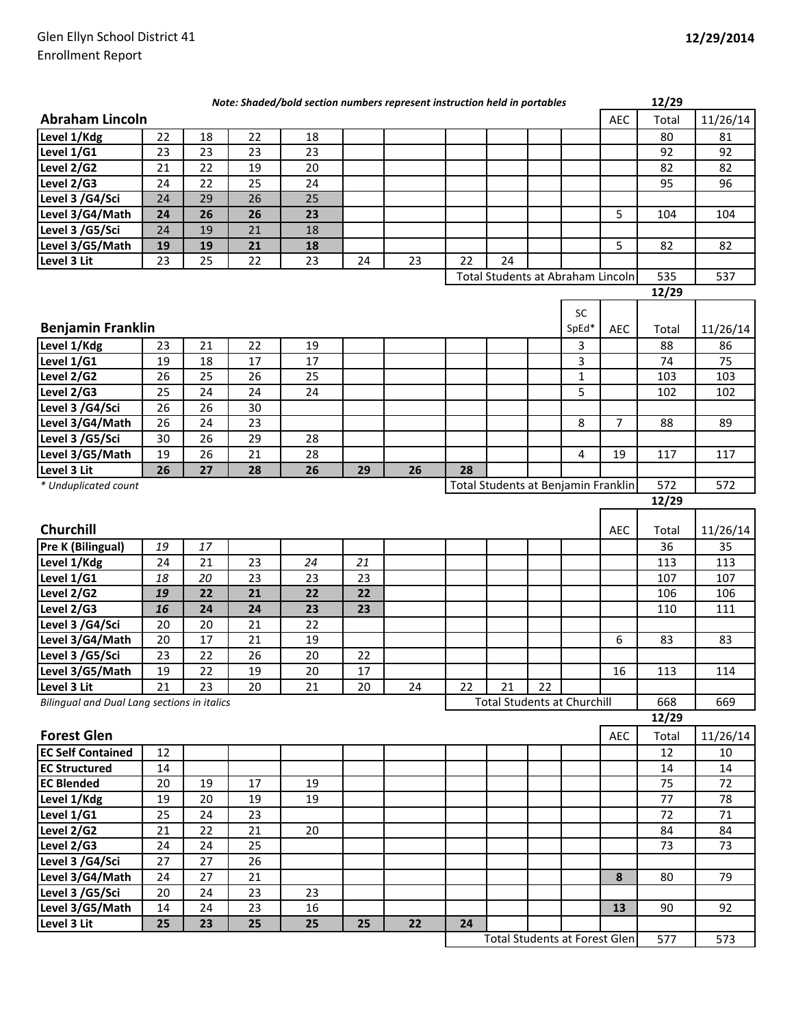|                                             |    |                 |    | Note: Shaded/bold section numbers represent instruction held in portables |    |    |    |                                      |     |       |            | 12/29 |          |
|---------------------------------------------|----|-----------------|----|---------------------------------------------------------------------------|----|----|----|--------------------------------------|-----|-------|------------|-------|----------|
| <b>Abraham Lincoln</b>                      |    |                 |    |                                                                           |    |    |    |                                      |     |       | <b>AEC</b> | Total | 11/26/14 |
| Level 1/Kdg                                 | 22 | 18              | 22 | 18                                                                        |    |    |    |                                      |     |       |            | 80    | 81       |
| Level $1/\overline{G1}$                     | 23 | 23              | 23 | 23                                                                        |    |    |    |                                      |     |       |            | 92    | 92       |
| Level 2/G2                                  | 21 | 22              | 19 | 20                                                                        |    |    |    |                                      |     |       |            | 82    | 82       |
| Level 2/G3                                  | 24 | 22              | 25 | 24                                                                        |    |    |    |                                      |     |       |            | 95    | 96       |
| Level 3 /G4/Sci                             | 24 | 29              | 26 | 25                                                                        |    |    |    |                                      |     |       |            |       |          |
| Level 3/G4/Math                             | 24 | 26              | 26 | 23                                                                        |    |    |    |                                      |     |       | 5          | 104   | 104      |
| Level 3 /G5/Sci                             | 24 | 19              | 21 | 18                                                                        |    |    |    |                                      |     |       |            |       |          |
| Level 3/G5/Math                             | 19 | 19              | 21 | 18                                                                        |    |    |    |                                      |     |       | 5          | 82    | 82       |
| Level 3 Lit                                 | 23 | 25              | 22 | 23                                                                        | 24 | 23 | 22 | 24                                   |     |       |            |       |          |
| Total Students at Abraham Lincoln           |    |                 |    |                                                                           |    |    |    |                                      | 535 | 537   |            |       |          |
|                                             |    |                 |    |                                                                           |    |    |    |                                      |     |       |            | 12/29 |          |
|                                             |    |                 |    |                                                                           |    |    |    |                                      |     | SC    |            |       |          |
| <b>Benjamin Franklin</b>                    |    |                 |    |                                                                           |    |    |    |                                      |     | SpEd* | <b>AEC</b> | Total | 11/26/14 |
| Level 1/Kdg                                 | 23 | 21              | 22 | 19                                                                        |    |    |    |                                      |     | 3     |            | 88    | 86       |
| Level 1/G1                                  | 19 | 18              | 17 | 17                                                                        |    |    |    |                                      |     | 3     |            | 74    | 75       |
| Level 2/G2                                  | 26 | 25              | 26 | 25                                                                        |    |    |    |                                      |     | 1     |            | 103   | 103      |
| Level 2/G3                                  | 25 | 24              | 24 | 24                                                                        |    |    |    |                                      |     | 5     |            | 102   | 102      |
| Level 3 /G4/Sci                             | 26 | 26              | 30 |                                                                           |    |    |    |                                      |     |       |            |       |          |
| Level 3/G4/Math                             | 26 | 24              | 23 |                                                                           |    |    |    |                                      |     | 8     | 7          | 88    | 89       |
| Level 3 /G5/Sci                             | 30 | 26              | 29 | 28                                                                        |    |    |    |                                      |     |       |            |       |          |
| Level 3/G5/Math                             | 19 | 26              | 21 | 28                                                                        |    |    |    |                                      |     | 4     | 19         | 117   | 117      |
| Level 3 Lit                                 | 26 | 27              | 28 | 26                                                                        | 29 | 26 | 28 |                                      |     |       |            |       |          |
| * Unduplicated count                        |    |                 |    |                                                                           |    |    |    | Total Students at Benjamin Franklin  |     |       |            | 572   | 572      |
|                                             |    |                 |    |                                                                           |    |    |    |                                      |     |       |            | 12/29 |          |
|                                             |    |                 |    |                                                                           |    |    |    |                                      |     |       |            |       |          |
| Churchill                                   |    |                 |    |                                                                           |    |    |    |                                      |     |       | <b>AEC</b> | Total | 11/26/14 |
| <b>Pre K (Bilingual)</b>                    | 19 | 17              |    |                                                                           |    |    |    |                                      |     |       |            | 36    | 35       |
| Level 1/Kdg                                 | 24 | 21              | 23 | 24                                                                        | 21 |    |    |                                      |     |       |            | 113   | 113      |
| Level 1/G1                                  | 18 | 20              | 23 | 23                                                                        | 23 |    |    |                                      |     |       |            | 107   | 107      |
| Level 2/G2                                  | 19 | 22              | 21 | 22                                                                        | 22 |    |    |                                      |     |       |            | 106   | 106      |
| Level 2/G3                                  | 16 | 24              | 24 | 23                                                                        | 23 |    |    |                                      |     |       |            | 110   | 111      |
| Level 3 /G4/Sci                             | 20 | 20              | 21 | 22                                                                        |    |    |    |                                      |     |       |            |       |          |
| Level 3/G4/Math                             | 20 | 17              | 21 | 19                                                                        |    |    |    |                                      |     |       | 6          | 83    | 83       |
| Level 3 /G5/Sci                             | 23 | 22              | 26 | 20                                                                        | 22 |    |    |                                      |     |       |            |       |          |
| Level 3/G5/Math                             | 19 | $\overline{22}$ | 19 | 20                                                                        | 17 |    |    |                                      |     |       | 16         | 113   | 114      |
| Level 3 Lit                                 | 21 | 23              | 20 | 21                                                                        | 20 | 24 | 22 | 21                                   | 22  |       |            |       |          |
| Bilingual and Dual Lang sections in italics |    |                 |    |                                                                           |    |    |    | <b>Total Students at Churchill</b>   |     |       |            | 668   | 669      |
|                                             |    |                 |    |                                                                           |    |    |    |                                      |     |       |            | 12/29 |          |
| <b>Forest Glen</b>                          |    |                 |    |                                                                           |    |    |    |                                      |     |       | <b>AEC</b> | Total | 11/26/14 |
| <b>EC Self Contained</b>                    | 12 |                 |    |                                                                           |    |    |    |                                      |     |       |            | 12    | 10       |
| <b>EC Structured</b>                        | 14 |                 |    |                                                                           |    |    |    |                                      |     |       |            | 14    | 14       |
| <b>EC Blended</b>                           | 20 | 19              | 17 | 19                                                                        |    |    |    |                                      |     |       |            | 75    | 72       |
| Level 1/Kdg                                 | 19 | 20              | 19 | 19                                                                        |    |    |    |                                      |     |       |            | 77    | 78       |
| Level 1/G1                                  | 25 | 24              | 23 |                                                                           |    |    |    |                                      |     |       |            | 72    | 71       |
| Level 2/G2                                  | 21 | 22              | 21 | 20                                                                        |    |    |    |                                      |     |       |            | 84    | 84       |
| Level 2/G3                                  | 24 | 24              | 25 |                                                                           |    |    |    |                                      |     |       |            | 73    | 73       |
| Level 3 /G4/Sci                             | 27 | 27              | 26 |                                                                           |    |    |    |                                      |     |       |            |       |          |
| Level 3/G4/Math                             | 24 | 27              | 21 |                                                                           |    |    |    |                                      |     |       | 8          | 80    | 79       |
| Level 3 /G5/Sci                             | 20 | 24              | 23 | 23                                                                        |    |    |    |                                      |     |       |            |       |          |
| Level 3/G5/Math                             | 14 | 24              | 23 | 16                                                                        |    |    |    |                                      |     |       | 13         | 90    | 92       |
| Level 3 Lit                                 | 25 | 23              | 25 | 25                                                                        | 25 | 22 | 24 |                                      |     |       |            |       |          |
|                                             |    |                 |    |                                                                           |    |    |    | <b>Total Students at Forest Glen</b> |     |       |            | 577   | 573      |